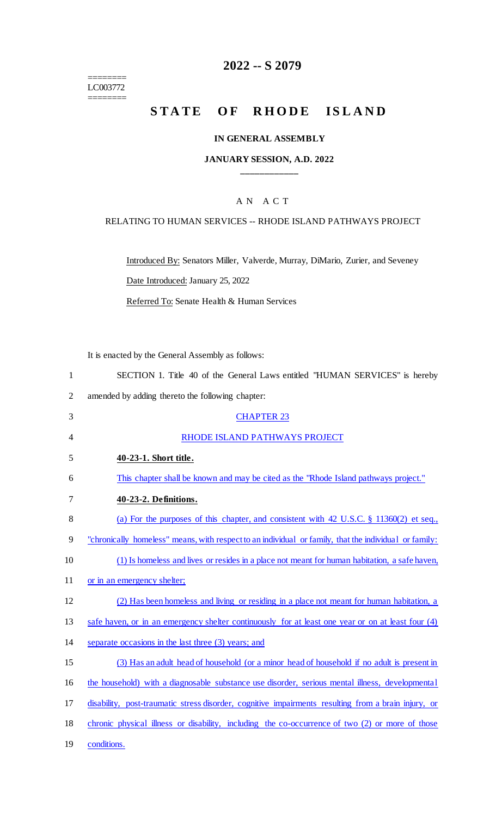======== LC003772

========

# **2022 -- S 2079**

# STATE OF RHODE ISLAND

#### **IN GENERAL ASSEMBLY**

#### **JANUARY SESSION, A.D. 2022 \_\_\_\_\_\_\_\_\_\_\_\_**

## A N A C T

#### RELATING TO HUMAN SERVICES -- RHODE ISLAND PATHWAYS PROJECT

Introduced By: Senators Miller, Valverde, Murray, DiMario, Zurier, and Seveney

Date Introduced: January 25, 2022

Referred To: Senate Health & Human Services

It is enacted by the General Assembly as follows:

| SECTION 1. Title 40 of the General Laws entitled "HUMAN SERVICES" is hereby |
|-----------------------------------------------------------------------------|
| amended by adding thereto the following chapter:                            |

| 3  | <b>CHAPTER 23</b>                                                                                     |
|----|-------------------------------------------------------------------------------------------------------|
| 4  | RHODE ISLAND PATHWAYS PROJECT                                                                         |
| 5  | 40-23-1. Short title.                                                                                 |
| 6  | This chapter shall be known and may be cited as the "Rhode Island pathways project."                  |
| 7  | 40-23-2. Definitions.                                                                                 |
| 8  | (a) For the purposes of this chapter, and consistent with 42 U.S.C. $\S$ 11360(2) et seq.,            |
| 9  | "chronically homeless" means, with respect to an individual or family, that the individual or family: |
| 10 | (1) Is homeless and lives or resides in a place not meant for human habitation, a safe haven,         |
| 11 | or in an emergency shelter;                                                                           |
| 12 | (2) Has been homeless and living or residing in a place not meant for human habitation, a             |
| 13 | safe haven, or in an emergency shelter continuously for at least one year or on at least four (4)     |
| 14 | separate occasions in the last three (3) years; and                                                   |
| 15 | (3) Has an adult head of household (or a minor head of household if no adult is present in            |
| 16 | the household) with a diagnosable substance use disorder, serious mental illness, developmental       |
| 17 | disability, post-traumatic stress disorder, cognitive impairments resulting from a brain injury, or   |
| 18 | chronic physical illness or disability, including the co-occurrence of two (2) or more of those       |
| 19 | conditions.                                                                                           |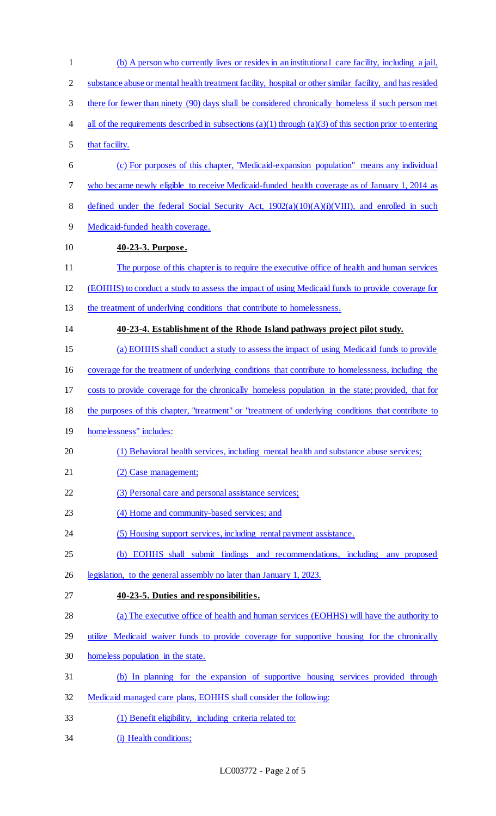| $\mathbf{1}$   | (b) A person who currently lives or resides in an institutional care facility, including a jail,         |
|----------------|----------------------------------------------------------------------------------------------------------|
| $\overline{2}$ | substance abuse or mental health treatment facility, hospital or other similar facility, and has resided |
| 3              | there for fewer than ninety (90) days shall be considered chronically homeless if such person met        |
| 4              | all of the requirements described in subsections (a)(1) through (a)(3) of this section prior to entering |
| 5              | that facility.                                                                                           |
| 6              | (c) For purposes of this chapter, "Medicaid-expansion population" means any individual                   |
| 7              | who became newly eligible to receive Medicaid-funded health coverage as of January 1, 2014 as            |
| 8              | defined under the federal Social Security Act, $1902(a)(10)(A)(i)(VIII)$ , and enrolled in such          |
| 9              | Medicaid-funded health coverage.                                                                         |
| 10             | 40-23-3. Purpose.                                                                                        |
| 11             | The purpose of this chapter is to require the executive office of health and human services              |
| 12             | (EOHHS) to conduct a study to assess the impact of using Medicaid funds to provide coverage for          |
| 13             | the treatment of underlying conditions that contribute to homelessness.                                  |
| 14             | 40-23-4. Establishment of the Rhode Island pathways project pilot study.                                 |
| 15             | (a) EOHHS shall conduct a study to assess the impact of using Medicaid funds to provide                  |
| 16             | coverage for the treatment of underlying conditions that contribute to homelessness, including the       |
| 17             | costs to provide coverage for the chronically homeless population in the state; provided, that for       |
| 18             | the purposes of this chapter, "treatment" or "treatment of underlying conditions that contribute to      |
| 19             | homelessness" includes:                                                                                  |
| 20             | (1) Behavioral health services, including mental health and substance abuse services;                    |
| 21             | (2) Case management;                                                                                     |
| 22             | (3) Personal care and personal assistance services;                                                      |
| 23             | (4) Home and community-based services; and                                                               |
| 24             | (5) Housing support services, including rental payment assistance.                                       |
| 25             | (b) EOHHS shall submit findings and recommendations, including any proposed                              |
| 26             | legislation, to the general assembly no later than January 1, 2023.                                      |
| 27             | 40-23-5. Duties and responsibilities.                                                                    |
| 28             | (a) The executive office of health and human services (EOHHS) will have the authority to                 |
| 29             | utilize Medicaid waiver funds to provide coverage for supportive housing for the chronically             |
| 30             | homeless population in the state.                                                                        |
| 31             | (b) In planning for the expansion of supportive housing services provided through                        |
| 32             | Medicaid managed care plans, EOHHS shall consider the following:                                         |
| 33             | (1) Benefit eligibility, including criteria related to:                                                  |
| 34             | (i) Health conditions;                                                                                   |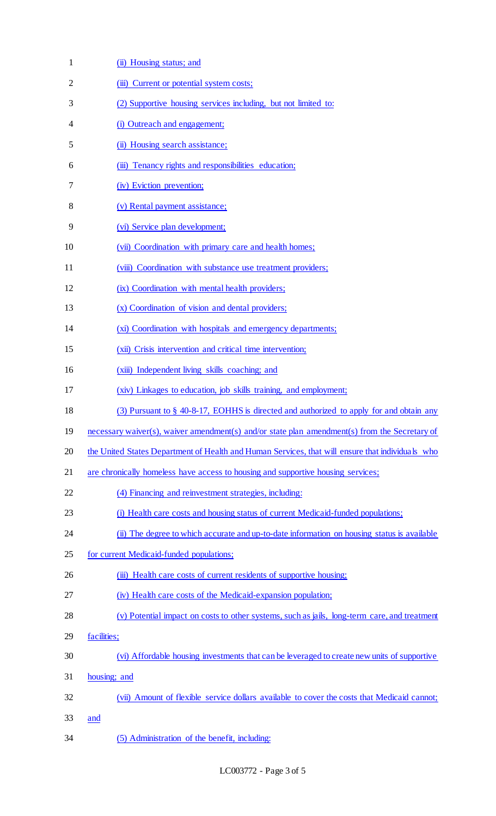| $\mathbf{1}$   | (ii) Housing status; and                                                                         |
|----------------|--------------------------------------------------------------------------------------------------|
| $\overline{2}$ | (iii) Current or potential system costs;                                                         |
| 3              | (2) Supportive housing services including, but not limited to:                                   |
| 4              | (i) Outreach and engagement;                                                                     |
| 5              | (ii) Housing search assistance;                                                                  |
| 6              | (iii) Tenancy rights and responsibilities education;                                             |
| 7              | (iv) Eviction prevention;                                                                        |
| 8              | (v) Rental payment assistance;                                                                   |
| 9              | (vi) Service plan development;                                                                   |
| 10             | (vii) Coordination with primary care and health homes;                                           |
| 11             | (viii) Coordination with substance use treatment providers;                                      |
| 12             | (ix) Coordination with mental health providers;                                                  |
| 13             | (x) Coordination of vision and dental providers;                                                 |
| 14             | (xi) Coordination with hospitals and emergency departments;                                      |
| 15             | (xii) Crisis intervention and critical time intervention;                                        |
| 16             | (xiii) Independent living skills coaching; and                                                   |
| 17             | (xiv) Linkages to education, job skills training, and employment;                                |
| 18             | (3) Pursuant to § 40-8-17, EOHHS is directed and authorized to apply for and obtain any          |
| 19             | necessary waiver(s), waiver amendment(s) and/or state plan amendment(s) from the Secretary of    |
| 20             | the United States Department of Health and Human Services, that will ensure that individuals who |
| 21             | are chronically homeless have access to housing and supportive housing services;                 |
| 22             | (4) Financing and reinvestment strategies, including:                                            |
| 23             | (i) Health care costs and housing status of current Medicaid-funded populations;                 |
| 24             | (ii) The degree to which accurate and up-to-date information on housing status is available      |
| 25             | for current Medicaid-funded populations;                                                         |
| 26             | (iii) Health care costs of current residents of supportive housing;                              |
| 27             | (iv) Health care costs of the Medicaid-expansion population;                                     |
| 28             | (v) Potential impact on costs to other systems, such as jails, long-term care, and treatment     |
| 29             | facilities;                                                                                      |
| 30             | (vi) Affordable housing investments that can be leveraged to create new units of supportive      |
| 31             | housing; and                                                                                     |
| 32             | (vii) Amount of flexible service dollars available to cover the costs that Medicaid cannot;      |
| 33             | <u>and</u>                                                                                       |
| 34             | (5) Administration of the benefit, including:                                                    |

LC003772 - Page 3 of 5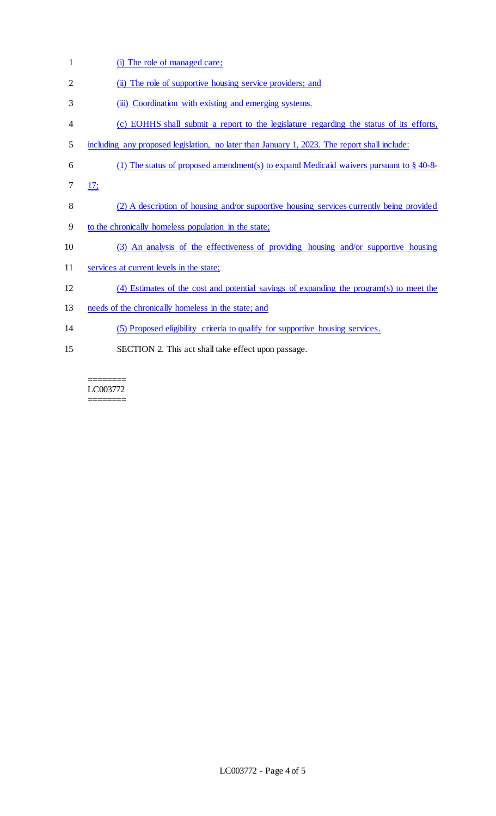1 (i) The role of managed care; 2 (ii) The role of supportive housing service providers; and 3 (iii) Coordination with existing and emerging systems. 4 (c) EOHHS shall submit a report to the legislature regarding the status of its efforts, 5 including any proposed legislation, no later than January 1, 2023. The report shall include: 6 (1) The status of proposed amendment(s) to expand Medicaid waivers pursuant to  $\S$  40-8-7 17; 8 (2) A description of housing and/or supportive housing services currently being provided 9 to the chronically homeless population in the state; 10 (3) An analysis of the effectiveness of providing housing and/or supportive housing 11 services at current levels in the state; 12 (4) Estimates of the cost and potential savings of expanding the program(s) to meet the 13 needs of the chronically homeless in the state; and 14 (5) Proposed eligibility criteria to qualify for supportive housing services. 15 SECTION 2. This act shall take effect upon passage.

======== LC003772 ========